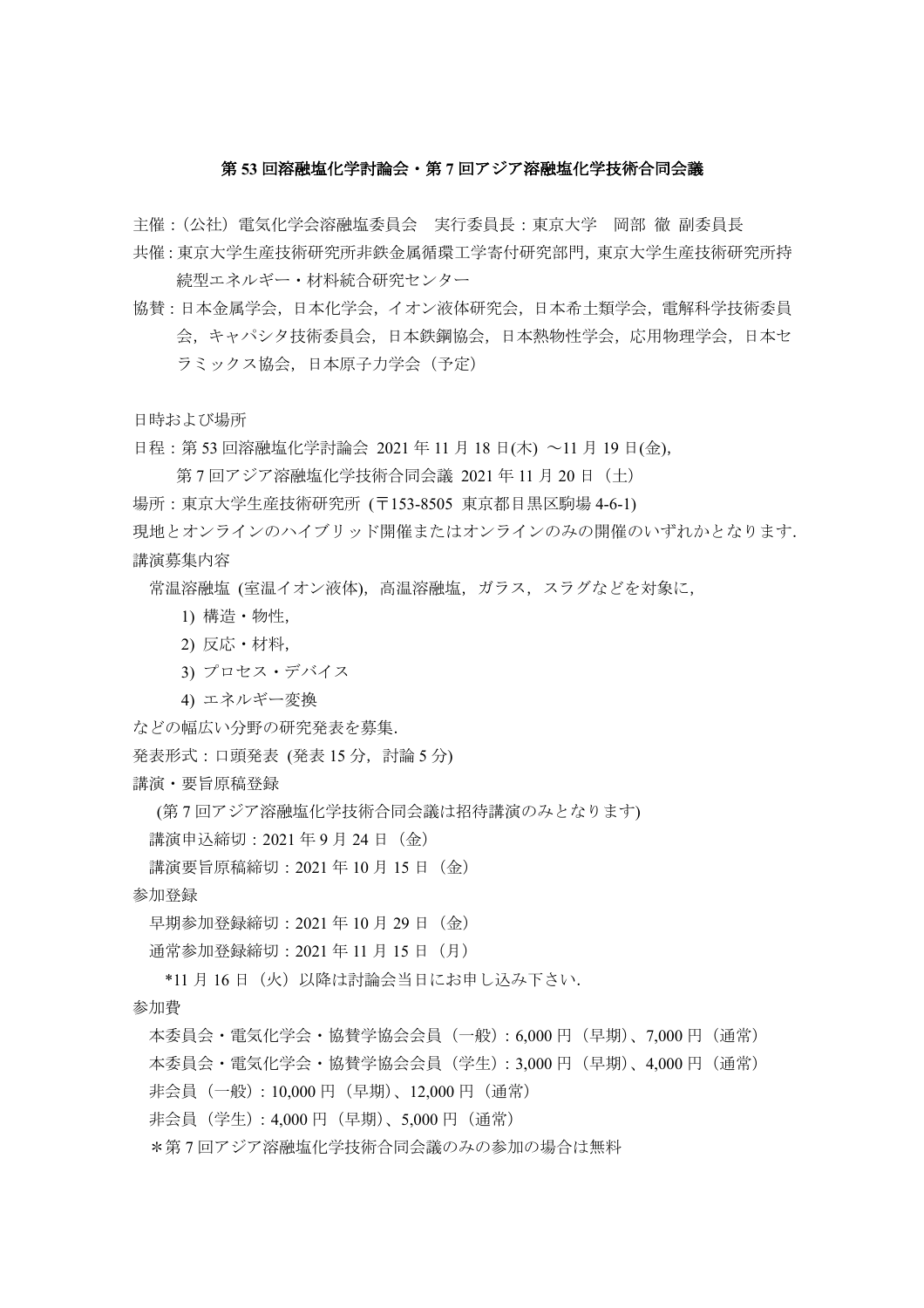## 第 **53** 回溶融塩化学討論会・第 **7** 回アジア溶融塩化学技術合同会議

主催:(公社)電気化学会溶融塩委員会 実行委員長:東京大学 岡部 徹 副委員長

- 共催:東京大学生産技術研究所非鉄金属循環工学寄付研究部門,東京大学生産技術研究所持 続型エネルギー・材料統合研究センター
- 協賛:日本金属学会,日本化学会,イオン液体研究会,日本希土類学会,電解科学技術委員 会,キャパシタ技術委員会,日本鉄鋼協会,日本熱物性学会,応用物理学会,日本セ ラミックス協会,日本原子力学会(予定)

日時および場所

日程: 第 53 回溶融塩化学討論会 2021 年 11 月 18 日(木) ~11 月 19 日(金),

第7回アジア溶融塩化学技術合同会議 2021年11月20日 (土)

場所:東京大学生産技術研究所 (〒153-8505 東京都目黒区駒場 4-6-1)

現地とオンラインのハイブリッド開催またはオンラインのみの開催のいずれかとなります. 講演募集内容

常温溶融塩 (室温イオン液体),高温溶融塩,ガラス,スラグなどを対象に,

- 1) 構造・物性,
- 2) 反応・材料,
- 3) プロセス・デバイス
- 4) エネルギー変換

などの幅広い分野の研究発表を募集.

発表形式:口頭発表 (発表 15分, 討論 5分)

講演・要旨原稿登録

(第 7 回アジア溶融塩化学技術合同会議は招待講演のみとなります)

講演申込締切: 2021年9月24日 (金)

講演要旨原稿締切:2021 年 10 月 15 日(金)

参加登録

早期参加登録締切: 2021年10月29日 (金)

通常参加登録締切: 2021年11月15日 (月)

\*11 月 16 日(火)以降は討論会当日にお申し込み下さい.

参加費

本委員会・電気化学会・協賛学協会会員(一般):6,000 円(早期)、7,000 円(通常) 本委員会・電気化学会・協賛学協会会員(学生):3,000 円(早期)、4,000 円(通常) 非会員(一般): 10,000円(早期)、12,000円(通常)

非会員(学生):4,000 円(早期)、5,000 円(通常)

\*第 7 回アジア溶融塩化学技術合同会議のみの参加の場合は無料